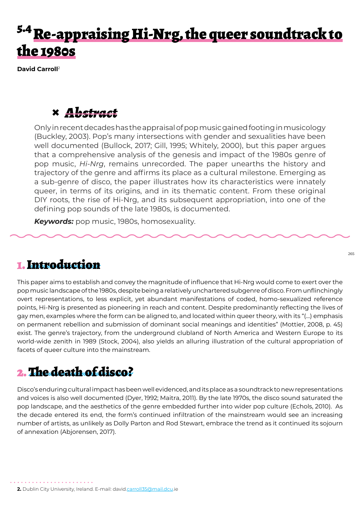## Re-appraising Hi-Nrg, the queer soundtrack to the 1980s

**David Carroll**<sup>2</sup>

### **×** *Abstract*

Only in recent decades has the appraisal of pop music gained footing in musicology (Buckley, 2003). Pop's many intersections with gender and sexualities have been well documented (Bullock, 2017; Gill, 1995; Whitely, 2000), but this paper argues that a comprehensive analysis of the genesis and impact of the 1980s genre of pop music, *Hi-Nrg*, remains unrecorded. The paper unearths the history and trajectory of the genre and affirms its place as a cultural milestone. Emerging as a sub-genre of disco, the paper illustrates how its characteristics were innately queer, in terms of its origins, and in its thematic content. From these original DIY roots, the rise of Hi-Nrg, and its subsequent appropriation, into one of the defining pop sounds of the late 1980s, is documented.

*Keywords:* pop music, 1980s, homosexuality.

### 1. Introduction

This paper aims to establish and convey the magnitude of influence that Hi-Nrg would come to exert over the pop music landscape of the 1980s, despite being a relatively unchartered subgenre of disco. From unflinchingly overt representations, to less explicit, yet abundant manifestations of coded, homo-sexualized reference points, Hi-Nrg is presented as pioneering in reach and content. Despite predominantly reflecting the lives of gay men, examples where the form can be aligned to, and located within queer theory, with its "(…) emphasis on permanent rebellion and submission of dominant social meanings and identities" (Mottier, 2008, p. 45) exist. The genre's trajectory, from the underground clubland of North America and Western Europe to its world-wide zenith in 1989 (Stock, 2004), also yields an alluring illustration of the cultural appropriation of facets of queer culture into the mainstream.

### 2. The death of disco?

Disco's enduring cultural impact has been well evidenced, and its place as a soundtrack to new representations and voices is also well documented (Dyer, 1992; Maitra, 2011). By the late 1970s, the disco sound saturated the pop landscape, and the aesthetics of the genre embedded further into wider pop culture (Echols, 2010). As the decade entered its end, the form's continued infiltration of the mainstream would see an increasing number of artists, as unlikely as Dolly Parton and Rod Stewart, embrace the trend as it continued its sojourn of annexation (Abjorensen, 2017).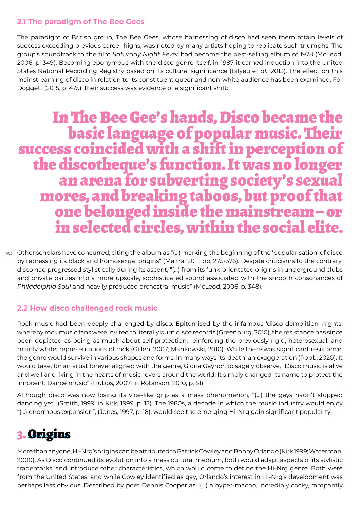#### **2.1 The paradigm of The Bee Gees**

The paradigm of British group, The Bee Gees, whose harnessing of disco had seen them attain levels of success exceeding previous career highs, was noted by many artists hoping to replicate such triumphs. The group's soundtrack to the film *Saturday Night Fever* had become the best-selling album of 1978 (McLeod, 2006, p. 349). Becoming eponymous with the disco genre itself, in 1987 it earned induction into the United States National Recording Registry based on its cultural significance (Bilyeu et *al.*, 2013). The effect on this mainstreaming of disco in relation to its constituent queer and non-white audience has been examined. For Doggett (2015, p. 475), their success was evidence of a significant shift:

# In The Bee Gee's hands, Disco became the success coincided with a shift in perception of<br>the discotheque's function. It was no longer the discotheque's function. It was no longer an arena for subverting society's sexual mores, and breaking taboos, but proof that one belonged inside the mainstream – or in selected circles, within the social elite.

266 Other scholars have concurred, citing the album as "(…) marking the beginning of the 'popularisation' of disco by repressing its black and homosexual origins" (Maitra, 2011, pp. 275-376). Despite criticisms to the contrary, disco had progressed stylistically during its ascent, "(…) from its funk-orientated origins in underground clubs and private parties into a more upscale, sophisticated sound associated with the smooth consonances of *Philadelphia Soul* and heavily produced orchestral music" (McLeod, 2006, p. 348).

### **2.2 How disco challenged rock music**

Rock music had been deeply challenged by disco. Epitomised by the infamous 'disco demolition' nights, whereby rock music fans were invited to literally burn disco records (Greenburg, 2010), the resistance has since been depicted as being as much about self-protection, reinforcing the previously rigid, heterosexual, and mainly white, representations of rock (Gillen, 2007; Mankowski, 2010). While there was significant resistance, the genre would survive in various shapes and forms, in many ways its 'death' an exaggeration (Robb, 2020). It would take, for an artist forever aligned with the genre, Gloria Gaynor, to sagely observe, "Disco music is alive and well and living in the hearts of music-lovers around the world. It simply changed its name to protect the innocent: Dance music" (Hubbs, 2007, in Robinson, 2010, p. 51).

Although disco was now losing its vice-like grip as a mass phenomenon, "(…) the gays hadn't stopped dancing yet" (Smith, 1999, in Kirk, 1999, p. 13). The 1980s, a decade in which the music industry would enjoy "(…) enormous expansion", (Jones, 1997, p. 18), would see the emerging Hi-Nrg gain significant popularity.

### 3. Origins

More than anyone, Hi-Nrg's origins can be attributed to Patrick Cowley and Bobby Orlando (Kirk 1999; Waterman, 2000). As Disco continued its evolution into a mass cultural medium, both would adapt aspects of its stylistic trademarks, and introduce other characteristics, which would come to define the Hi-Nrg genre. Both were from the United States, and while Cowley identified as gay, Orlando's interest in Hi-Nrg's development was perhaps less obvious. Described by poet Dennis Cooper as "(…) a hyper-macho, incredibly cocky, rampantly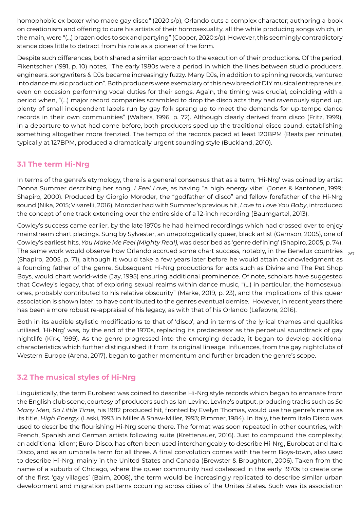homophobic ex-boxer who made gay disco*"* (2020:s/p), Orlando cuts a complex character; authoring a book on creationism and offering to cure his artists of their homosexuality, all the while producing songs which, in the main, were "(…) brazen odes to sex and partying" (Cooper*,* 2020:s/p). However, this seemingly contradictory stance does little to detract from his role as a pioneer of the form.

Despite such differences, both shared a similar approach to the execution of their productions. Of the period, Fikentscher (1991, p. 10) notes, "The early 1980s were a period in which the lines between studio producers, engineers, songwriters & DJs became increasingly fuzzy. Many DJs, in addition to spinning records, ventured into dance music production". Both producers were exemplary of this new breed of DIY musical entrepreneurs, even on occasion performing vocal duties for their songs. Again, the timing was crucial, coinciding with a period when, "(…) major record companies scrambled to drop the disco acts they had ravenously signed up, plenty of small independent labels run by gay folk sprang up to meet the demands for up-tempo dance records in their own communities" (Walters, 1996, p. 72). Although clearly derived from disco (Fritz, 1999), in a departure to what had come before, both producers sped up the traditional disco sound, establishing something altogether more frenzied. The tempo of the records paced at least 120BPM (Beats per minute), typically at 127BPM, produced a dramatically urgent sounding style (Buckland, 2010).

#### **3.1 The term Hi-Nrg**

In terms of the genre's etymology, there is a general consensus that as a term, 'Hi-Nrg' was coined by artist Donna Summer describing her song, *I Feel Love*, as having "a high energy vibe" (Jones & Kantonen, 1999; Shapiro, 2000). Produced by Giorgio Moroder, the "godfather of disco" and fellow forefather of the Hi-Nrg sound (Nika, 2015; Vivarelli, 2016), Moroder had with Summer's previous hit, *Love to Love You Baby*, introduced the concept of one track extending over the entire side of a 12-inch recording (Baumgartel, 2013).

The same work would observe how Orlando accrued some chart success, notably, in the Benelux countries  $\begin{array}{cc} & _{267} \end{array}$ Cowley's success came earlier, by the late 1970s he had helmed recordings which had crossed over to enjoy mainstream chart placings. Sung by Sylvester, an unapologetically queer, black artist (Gamson, 2005), one of Cowley's earliest hits, *You Make Me Feel (Mighty Real)*, was described as 'genre defining' (Shapiro, 2005, p. 74). (Shapiro, 2005, p. 71), although it would take a few years later before he would attain acknowledgment as a founding father of the genre. Subsequent Hi-Nrg productions for acts such as Divine and The Pet Shop Boys, would chart world-wide (Jay, 1995) ensuring additional prominence. Of note, scholars have suggested that Cowley's legacy, that of exploring sexual realms within dance music, "(…) in particular, the homosexual ones, probably contributed to his relative obscurity" (Marke, 2019, p. 23), and the implications of this queer association is shown later, to have contributed to the genres eventual demise. However, in recent years there has been a more robust re-appraisal of his legacy, as with that of his Orlando (Lefebvre, 2016).

Both in its audible stylistic modifications to that of 'disco', and in terms of the lyrical themes and qualities utilised, 'Hi-Nrg' was, by the end of the 1970s, replacing its predecessor as the perpetual soundtrack of gay nightlife (Kirk, 1999). As the genre progressed into the emerging decade, it began to develop additional characteristics which further distinguished it from its original lineage. Influences, from the gay nightclubs of Western Europe (Arena, 2017), began to gather momentum and further broaden the genre's scope.

### **3.2 The musical styles of Hi-Nrg**

Linguistically, the term Eurobeat was coined to describe Hi-Nrg style records which began to emanate from the English club scene, courtesy of producers such as Ian Levine. Levine's output, producing tracks such as *So Many Men, So Little Time*, his 1982 produced hit, fronted by Evelyn Thomas, would use the genre's name as its title, *High Energy.* (Laski, 1993 in Miller & Shaw-Miller, 1993; Rimmer, 1984). In Italy, the term Italo Disco was used to describe the flourishing Hi-Nrg scene there. The format was soon repeated in other countries, with French, Spanish and German artists following suite (Krettenauer, 2016). Just to compound the complexity, an additional idiom; Euro-Disco*,* has often been used interchangeably to describe Hi-Nrg, Eurobeat and Italo Disco, and as an umbrella term for all three. A final convolution comes with the term Boys-town, also used to describe Hi-Nrg, mainly in the United States and Canada (Brewster & Broughton, 2006). Taken from the name of a suburb of Chicago, where the queer community had coalesced in the early 1970s to create one of the first 'gay villages' (Baim, 2008), the term would be increasingly replicated to describe similar urban development and migration patterns occurring across cities of the Unites States. Such was its association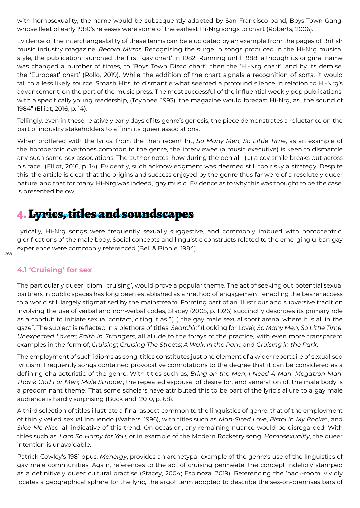with homosexuality, the name would be subsequently adapted by San Francisco band, Boys-Town Gang, whose fleet of early 1980's releases were some of the earliest Hi-Nrg songs to chart (Roberts, 2006).

Evidence of the interchangeability of these terms can be elucidated by an example from the pages of British music industry magazine, *Record Mirror*. Recognising the surge in songs produced in the Hi-Nrg musical style, the publication launched the first 'gay chart' in 1982. Running until 1988, although its original name was changed a number of times, to 'Boys Town Disco chart'; then the 'Hi-Nrg chart'; and by its demise, the 'Eurobeat' chart' (Rollo, 2019). While the addition of the chart signals a recognition of sorts, it would fall to a less likely source, Smash Hits, to dismantle what seemed a profound silence in relation to Hi-Nrg's advancement, on the part of the music press. The most successful of the influential weekly pop publications, with a specifically young readership, (Toynbee, 1993), the magazine would forecast Hi-Nrg, as "the sound of 1984" (Elliot, 2016, p. 14).

Tellingly, even in these relatively early days of its genre's genesis, the piece demonstrates a reluctance on the part of industry stakeholders to affirm its queer associations.

When proffered with the lyrics, from the then recent hit, *So Many Men, So Little Time*, as an example of the homoerotic overtones common to the genre, the interviewee (a music executive) is keen to dismantle any such same-sex associations. The author notes, how during the denial, "(…) a coy smile breaks out across his face" (Elliot, 2016, p. 14). Evidently, such acknowledgment was deemed still too risky a strategy. Despite this, the article is clear that the origins and success enjoyed by the genre thus far were of a resolutely queer nature, and that for many, Hi-Nrg was indeed, 'gay music'. Evidence as to why this was thought to be the case, is presented below.

### 4. Lyrics, titles and soundscapes

Lyrically, Hi-Nrg songs were frequently sexually suggestive, and commonly imbued with homocentric, glorifications of the male body. Social concepts and linguistic constructs related to the emerging urban gay experience were commonly referenced (Bell & Binnie, 1984).

### **4.1 'Cruising' for sex**

The particularly queer idiom, 'cruising', would prove a popular theme. The act of seeking out potential sexual partners in public spaces has long been established as a method of engagement, enabling the bearer access to a world still largely stigmatised by the mainstream. Forming part of an illustrious and subversive tradition involving the use of verbal and non-verbal codes, Stacey (2005, p. 1926) succinctly describes its primary role as a conduit to initiate sexual contact, citing it as "(…) the gay male sexual sport arena, where it is all in the gaze". The subject is reflected in a plethora of titles, *Searchin'* (Looking for Love); *So Many Men, So Little Time*; *Unexpected Lovers*; *Faith in Strangers*, all allude to the forays of the practice, with even more transparent examples in the form of, *Cruising*; *Cruising The Stre*et*s*; *A Walk in the Park*, and *Cruising in the Park*.

The employment of such idioms as song-titles constitutes just one element of a wider repertoire of sexualised lyricism. Frequently songs contained provocative connotations to the degree that it can be considered as a defining characteristic of the genre. With titles such as, *Bring on the Men*; *I Need A Man*; *Megatron Man*; *Thank God For Men*; *Male Stripper*, the repeated espousal of desire for, and veneration of, the male body is a predominant theme. That some scholars have attributed this to be part of the lyric's allure to a gay male audience is hardly surprising (Buckland, 2010, p. 68).

A third selection of titles illustrate a final aspect common to the linguistics of genre, that of the employment of thinly veiled sexual innuendo (Walters, 1996), with titles such as *Man-Sized Love*, *Pistol in My Pock*et, and *Slice Me Nice*, all indicative of this trend. On occasion, any remaining nuance would be disregarded. With titles such as, *I am So Horny for You*, or in example of the Modern Rocketry song, *Homosexuality*, the queer intention is unavoidable.

Patrick Cowley's 1981 opus, *Menergy*, provides an archetypal example of the genre's use of the linguistics of gay male communities. Again, references to the act of cruising permeate, the concept indelibly stamped as a definitively queer cultural practise (Stacey, 2004; Espinoza, 2019). Referencing the 'back-room' vividly locates a geographical sphere for the lyric, the argot term adopted to describe the sex-on-premises bars of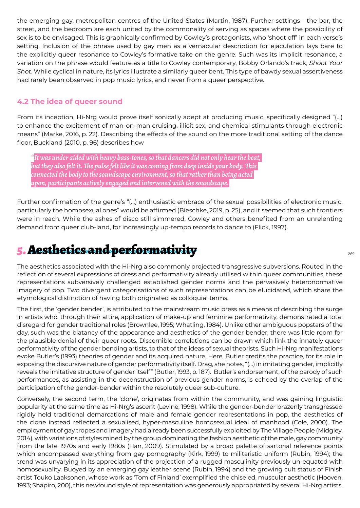the emerging gay, metropolitan centres of the United States (Martin, 1987). Further settings - the bar, the street, and the bedroom are each united by the commonality of serving as spaces where the possibility of sex is to be envisaged. This is graphically confirmed by Cowley's protagonists, who 'shoot off' in each verse's setting. Inclusion of the phrase used by gay men as a vernacular description for ejaculation lays bare to the explicitly queer resonance to Cowley's formative take on the genre. Such was its implicit resonance, a variation on the phrase would feature as a title to Cowley contemporary, Bobby Orlando's track, *Shoot Your Shot*. While cyclical in nature, its lyrics illustrate a similarly queer bent. This type of bawdy sexual assertiveness had rarely been observed in pop music lyrics, and never from a queer perspective.

#### **4.2 The idea of queer sound**

From its inception, Hi-Nrg would prove itself sonically adept at producing music, specifically designed "(…) to enhance the excitement of man-on-man cruising, illicit sex, and chemical stimulants through electronic means" (Marke, 2016, p. 22). Describing the effects of the sound on the more traditional setting of the dance floor, Buckland (2010, p. 96) describes how

*\*It was under aided with heavy bass-tones, so that dancers did not only hear the beat, but they also felt it. The pulse felt like it was coming from deep inside your body. This connected the body to the soundscape environment, so that rather than being acted upon, participants actively engaged and intervened with the soundscape.*

Further confirmation of the genre's "(…) enthusiastic embrace of the sexual possibilities of electronic music, particularly the homosexual ones" would be affirmed (Bieschke, 2019, p. 25), and it seemed that such frontiers were in reach. While the ashes of disco still simmered, Cowley and others benefited from an unrelenting demand from queer club-land, for increasingly up-tempo records to dance to (Flick, 1997).

### 5. Aesthetics and performativity

The aesthetics associated with the Hi-Nrg also commonly projected transgressive subversions. Routed in the reflection of several expressions of dress and performativity already utilised within queer communities, these representations subversively challenged established gender norms and the pervasively heteronormative imagery of pop. Two divergent categorisations of such representations can be elucidated, which share the etymological distinction of having both originated as colloquial terms.

The first, the 'gender bender', is attributed to the mainstream music press as a means of describing the surge in artists who, through their attire, application of make-up and feminine performativity, demonstrated a total disregard for gender traditional roles (Brownlee, 1995; Whatling, 1984). Unlike other ambiguous popstars of the day, such was the blatancy of the appearance and aesthetics of the gender bender, there was little room for the plausible denial of their queer roots. Discernible correlations can be drawn which link the innately queer performativity of the gender bending artists, to that of the ideas of sexual theorists. Such Hi-Nrg manifestations evoke Butler's (1993) theories of gender and its acquired nature. Here, Butler credits the practice, for its role in exposing the discursive nature of gender performativity itself. Drag, she notes, "(…) in imitating gender, implicitly reveals the imitative structure of gender itself" (Butler, 1993, p. 187). Butler's endorsement, of the parody of such performances, as assisting in the deconstruction of previous gender norms, is echoed by the overlap of the participation of the gender-bender within the resolutely queer sub-culture.

Conversely, the second term, the 'clone', originates from within the community, and was gaining linguistic popularity at the same time as Hi-Nrg's ascent (Levine, 1998). While the gender-bender brazenly transgressed rigidly held traditional demarcations of male and female gender representations in pop, the aesthetics of the clone instead reflected a sexualised, hyper-masculine homosexual ideal of manhood (Cole, 2000). The employment of gay tropes and imagery had already been successfully exploited by The Village People (Midgley, 2014), with variations of styles mined by the group dominating the fashion aesthetic of the male, gay community from the late 1970s and early 1980s (Han, 2009). Stimulated by a broad palette of sartorial reference points which encompassed everything from gay pornography (Kirk, 1999) to militaristic uniform (Rubin, 1994); the trend was unvarying in its appreciation of the projection of a rugged masculinity previously un-equated with homosexuality. Buoyed by an emerging gay leather scene (Rubin, 1994) and the growing cult status of Finish artist Touko Laaksonen, whose work as 'Tom of Finland' exemplified the chiseled, muscular aesthetic (Hooven, 1993; Shapiro, 200), this newfound style of representation was generously appropriated by several Hi-Nrg artists.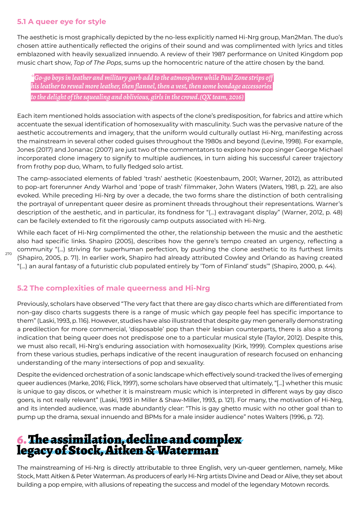#### **5.1 A queer eye for style**

270

The aesthetic is most graphically depicted by the no-less explicitly named Hi-Nrg group, Man2Man. The duo's chosen attire authentically reflected the origins of their sound and was complimented with lyrics and titles emblazoned with heavily sexualized innuendo. A review of their 1987 performance on United Kingdom pop music chart show, *Top of The Pops*, sums up the homocentric nature of the attire chosen by the band.

*\*Go-go boys in leather and military garb add to the atmosphere while Paul Zone strips off his leather to reveal more leather, then flannel, then a vest, then some bondage accessories to the delight of the squealing and oblivious, girls in the crowd.(QX team, 2016)* 

Each item mentioned holds association with aspects of the clone's predisposition, for fabrics and attire which accentuate the sexual identification of homosexuality with masculinity. Such was the pervasive nature of the aesthetic accoutrements and imagery, that the uniform would culturally outlast Hi-Nrg, manifesting across the mainstream in several other coded guises throughout the 1980s and beyond (Levine, 1998). For example, Jones (2017) and Jonanac (2007) are just two of the commentators to explore how pop singer George Michael incorporated clone imagery to signify to multiple audiences, in turn aiding his successful career trajectory from frothy pop duo, Wham, to fully fledged solo artist.

The camp-associated elements of fabled 'trash' aesthetic (Koestenbaum, 2001; Warner, 2012), as attributed to pop-art forerunner Andy Warhol and 'pope of trash' filmmaker, John Waters (Waters, 1981, p. 22), are also evoked. While preceding Hi-Nrg by over a decade, the two forms share the distinction of both centralising the portrayal of unrepentant queer desire as prominent threads throughout their representations. Warner's description of the aesthetic, and in particular, its fondness for "(…) extravagant display" (Warner, 2012, p. 48) can be facilely extended to fit the rigorously camp outputs associated with Hi-Nrg.

While each facet of Hi-Nrg complimented the other, the relationship between the music and the aesthetic also had specific links. Shapiro (2005), describes how the genre's tempo created an urgency, reflecting a community "(…) striving for superhuman perfection, by pushing the clone aesthetic to its furthest limits (Shapiro, 2005, p. 71). In earlier work, Shapiro had already attributed Cowley and Orlando as having created "(…) an aural fantasy of a futuristic club populated entirely by 'Tom of Finland' studs'" (Shapiro, 2000, p. 44).

#### **5.2 The complexities of male queerness and Hi-Nrg**

Previously, scholars have observed "The very fact that there are gay disco charts which are differentiated from non-gay disco charts suggests there is a range of music which gay people feel has specific importance to them" (Laski, 1993, p. 116). However, studies have also illustrated that despite gay men generally demonstrating a predilection for more commercial, 'disposable' pop than their lesbian counterparts, there is also a strong indication that being queer does not predispose one to a particular musical style (Taylor, 2012). Despite this, we must also recall, Hi-Nrg's enduring association with homosexuality (Kirk, 1999). Complex questions arise from these various studies, perhaps indicative of the recent inauguration of research focused on enhancing understanding of the many intersections of pop and sexuality.

Despite the evidenced orchestration of a sonic landscape which effectively sound-tracked the lives of emerging queer audiences (Marke, 2016; Flick, 1997), some scholars have observed that ultimately, "[…] whether this music is unique to gay discos, or whether it is mainstream music which is interpreted in different ways by gay disco goers, is not really relevant" (Laski, 1993 in Miller & Shaw-Miller, 1993, p. 121). For many, the motivation of Hi-Nrg, and its intended audience, was made abundantly clear: "This is gay ghetto music with no other goal than to pump up the drama, sexual innuendo and BPMs for a male insider audience" notes Walters (1996, p. 72).

# 6. The assimilation, decline and complex legacy of Stock, Aitken & Waterman

The mainstreaming of Hi-Nrg is directly attributable to three English, very un-queer gentlemen, namely, Mike Stock, Matt Aitken & Peter Waterman. As producers of early Hi-Nrg artists Divine and Dead or Alive, they set about building a pop empire, with allusions of repeating the success and model of the legendary Motown records.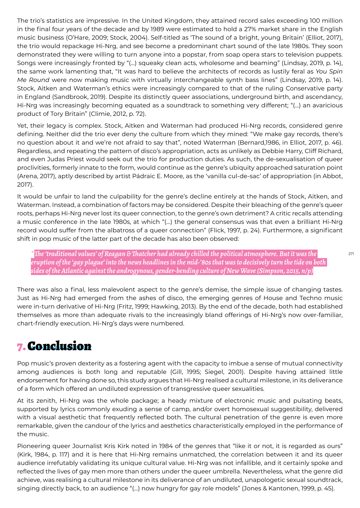The trio's statistics are impressive. In the United Kingdom, they attained record sales exceeding 100 million in the final four years of the decade and by 1989 were estimated to hold a 27% market share in the English music business (O'Hare, 2009; Stock, 2004). Self-titled as 'The sound of a bright, young Britain' (Elliot, 2017), the trio would repackage Hi-Nrg, and see become a predominant chart sound of the late 1980s. They soon demonstrated they were willing to turn anyone into a popstar, from soap opera stars to television puppets. Songs were increasingly fronted by "(…) squeaky clean acts, wholesome and beaming" (Lindsay, 2019, p. 14), the same work lamenting that, "It was hard to believe the architects of records as lustily feral as *You Spin Me Round* were now making music with virtually interchangeable synth bass lines" (Lindsay, 2019, p. 14). Stock, Aitken and Waterman's ethics were increasingly compared to that of the ruling Conservative party in England (Sandbrook, 2019). Despite its distinctly queer associations, underground birth, and ascendancy, Hi-Nrg was increasingly becoming equated as a soundtrack to something very different; "(…) an avaricious product of Tory Britain" (Climie, 2012, p. 72).

Yet, their legacy is complex. Stock, Aitken and Waterman had produced Hi-Nrg records, considered genre defining. Neither did the trio ever deny the culture from which they mined: "We make gay records, there's no question about it and we're not afraid to say that", noted Waterman (Bernard,1986, in Elliot, 2017, p. 46). Regardless, and repeating the pattern of disco's appropriation, acts as unlikely as Debbie Harry, Cliff Richard, and even Judas Priest would seek out the trio for production duties. As such, the de-sexualisation of queer proclivities, formerly innate to the form, would continue as the genre's ubiquity approached saturation point (Arena, 2017), aptly described by artist Pádraic E. Moore, as the 'vanilla cul-de-sac' of appropriation (in Abbot, 2017).

It would be unfair to land the culpability for the genre's decline entirely at the hands of Stock, Aitken, and Waterman. Instead, a combination of factors may be considered. Despite their bleaching of the genre's queer roots, perhaps Hi-Nrg never lost its queer connection, to the genre's own detriment? A critic recalls attending a music conference in the late 1980s, at which "(…) the general consensus was that even a brilliant Hi-Nrg record would suffer from the albatross of a queer connection" (Flick, 1997, p. 24). Furthermore, a significant shift in pop music of the latter part of the decade has also been observed:

*\*The 'traditional values' of Reagan & Thatcher had already chilled the political atmosphere. But it was the eruption of the 'gay plague' into the news headlines in the mid-'80s that was to decisively turn the tide on both sides of the Atlantic against the androgynous, gender-bending culture of New Wave (Simpson, 2015, n/p)*

There was also a final, less malevolent aspect to the genre's demise, the simple issue of changing tastes. Just as Hi-Nrg had emerged from the ashes of disco, the emerging genres of House and Techno music were in-turn derivative of Hi-Nrg (Fritz, 1999; Hawking, 2013). By the end of the decade, both had established themselves as more than adequate rivals to the increasingly bland offerings of Hi-Nrg's now over-familiar, chart-friendly execution. Hi-Nrg's days were numbered.

### 7. Conclusion

Pop music's proven dexterity as a fostering agent with the capacity to imbue a sense of mutual connectivity among audiences is both long and reputable (Gill, 1995; Siegel, 2001). Despite having attained little endorsement for having done so, this study argues that Hi-Nrg realised a cultural milestone, in its deliverance of a form which offered an undiluted expression of transgressive queer sexualities.

At its zenith, Hi-Nrg was the whole package; a heady mixture of electronic music and pulsating beats, supported by lyrics commonly exuding a sense of camp, and/or overt homosexual suggestibility, delivered with a visual aesthetic that frequently reflected both. The cultural penetration of the genre is even more remarkable, given the candour of the lyrics and aesthetics characteristically employed in the performance of the music.

Pioneering queer Journalist Kris Kirk noted in 1984 of the genres that "like it or not, it is regarded as ours" (Kirk, 1984, p. 117) and it is here that Hi-Nrg remains unmatched, the correlation between it and its queer audience irrefutably validating its unique cultural value. Hi-Nrg was not infallible, and it certainly spoke and reflected the lives of gay men more than others under the queer umbrella. Nevertheless, what the genre did achieve, was realising a cultural milestone in its deliverance of an undiluted, unapologetic sexual soundtrack, singing directly back, to an audience "(…) now hungry for gay role models" (Jones & Kantonen, 1999, p. 45).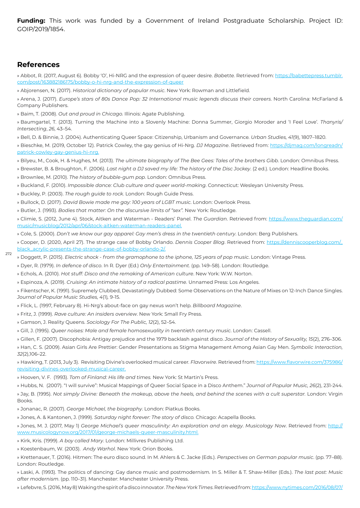**Funding:** This work was funded by a Government of Ireland Postgraduate Scholarship. Project ID: GOIP/2019/1854.

#### **References**

272

» Abbot, R. (2017, August 6). Bobby 'O', Hi-NRG and the expression of queer desire. *Bab*et*te.* Retrieved from: https://babettepress.tumblr. com/post/163882186175/bobby-o-hi-nrg-and-the-expression-of-queer

» Abjorensen, N. (2017). *Historical dictionary of popular music*. New York: Rowman and Littlefield.

» Arena, J. (2017). *Europe's stars of 80s Dance Pop: 32 International music legends discuss their careers*. North Carolina: McFarland & Company Publishers.

» Baim, T. (2008). *Out and proud in Chicago.* Illinois: Agate Publishing.

» Baumgartel, T. (2013). Turning the Machine into a Slovenly Machine: Donna Summer, Giorgio Moroder and 'I Feel Love'*. Thanyris/ Intersecting*, *26*, 43–54.

» Bell, D. & Binnie, J. (2004). Authenticating Queer Space: Citizenship, Urbanism and Governance*. Urban Studies, 41*(9), 1807–1820.

» Bieschke, M. (2019, October 12). Patrick Cowley, the gay genius of Hi-Nrg. *DJ Magazine*. Retrieved from: https://djmag.com/longreadn/ patrick-cowley-gay-genius-hi-nrg.

» Bilyeu, M., Cook, H. & Hughes, M. (2013). *The ultimate biography of The Bee Gees: Tales of the brothers Gibb*. London: Omnibus Press.

» Brewster, B. & Broughton, F. (2006). *Last night a DJ saved my life: The history of the Disc Jockey*. (2 ed.). London: Headline Books.

» Brownlee, M. (2010). *The history of bubble-gum pop*. London: Omnibus Press.

» Buckland, F. (2010). *Impossible dance: Club culture and queer world-making*. Connecticut: Wesleyan University Press.

» Buckley, P. (2003). *The rough guide to rock*. London: Rough Guide Press.

» Bullock, D. (2017). *David Bowie made me gay: 100 years of LGBT music*. London: Overlook Press.

» Butler, J. (1993). *Bodies that matter: On the discursive limits of "sex".* New York: Routledge.

» Climie, S. (2012, June 4). Stock, Aitken and Waterman - Readers' Panel. *The Guardian*. Retrieved from: https://www.theguardian.com/ music/musicblog/2012/apr/06/stock-aitken-waterman-readers-panel.

» Cole, S. (2000). *Don't we know our gay apparel: Gay men's dress in the twenti*et*h century*. London: Berg Publishers.

» Cooper, D. (2020, April 27). The strange case of Bobby Orlando. *Dennis Cooper Blog*. Retrieved from: https://denniscooperblog.com/\_ black\_acrylic-presents-the-strange-case-of-bobby-orlando-2/.

» Doggett, P. (2015). *Electric shock - from the gramophone to the iphone, 125 years of pop music*. London: Vintage Press.

» Dyer, R. (1979). *In defence of disco*. In R. Dyer (Ed.) *Only Entertainment.* (pp. 149–58). London: Routledge.

» Echols, A. (2010). *Hot stuff: Disco and the remaking of American culture*. New York: W.W. Norton.

» Espinoza, A. (2019). *Cruising: An intimate history of a radical pastime.* Unnamed Press: Los Angeles.

» Fikentscher, K. (1991). Supremely Clubbed, Devastatingly Dubbed: Some Observations on the Nature of Mixes on 12-Inch Dance Singles. *Journal of Popular Music Studies, 4*(1)*,* 9-15.

» Flick, L. (1997, February 8). Hi-Nrg's about-face on gay nexus won't help. *Billboard Magazine*.

» Fritz, J. (1999). *Rave culture: An insiders overview*. New York: Small Fry Press.

» Gamson, J. Reality Queens. *Sociology For The Public, 12*(2), 52–54.

» Gill, J. (1995). *Queer noises: Male and female homosexuality in twenti*et*h century music*. London: Cassell.

» Gillen, F. (2007). Discophobia: Antigay prejudice and the 1979 backlash against disco. *Journal of the History of Sexuality, 15*(2), 276–306.

» Han, C. S. (2009). Asian Girls Are Prettier: Gender Presentations as Stigma Management Among Asian Gay Men. *Symbolic Interaction, 32*(2),106–22.

» Hawking, T. (2013, July 3). Revisiting Divine's overlooked musical career*. Flavorwire*. Retrieved from: https://www.flavorwire.com/375986/ revisiting-divines-overlooked-musical-career.

» Hooven, V. F. (1993). *Tom of Finland: His life and times.* New York: St Martin's Press.

» Hubbs, N. (2007). "I will survive": Musical Mappings of Queer Social Space in a Disco Anthem." *Journal of Popular Music, 26*(2), 231-244.

» Jay, B. (1995). *Not simply Divine: Beneath the makeup, above the heels, and behind the scenes with a cult superstar.* London: Virgin Books.

» Jonanac, R. (2007). *George Michael, the biography*. London: Piatkus Books.

» Jones, A. & Kantonen, J. (1999). *Saturday night forever: The story of disco.* Chicago: Acapella Books.

» Jones, M. J. (2017, May 1) *George Michael's queer masculinity: An exploration and an elegy*. *Musicology Now*. Retrieved from: http:// www.musicologynow.org/2017/01/george-michaels-queer-masculinity.html.

» Kirk, Kris. (1999). *A boy called Mary*. London: Millivres Publishing Ltd.

» Koestenbaum, W. (2003). *Andy Warhol*. New York: Orion Books.

» Krettenauer, T. (2016). Hitmen: The euro disco sound. In M. Ahlers & C. Jacke (Eds.). *Perspectives on German popular music*. (pp. 77–88). London: Routledge.

» Laski, A. (1993). The politics of dancing: Gay dance music and postmodernism*.* In S. Miller & T. Shaw-Miller (Eds.). *The last post: Music after modernism*. (pp. 110–31). Manchester: Manchester University Press.

» Lefebvre, S. (2016, May 8) Waking the spirit of a disco innovator. *The New York Times*. Retrieved from: https://www.nytimes.com/2016/08/07/